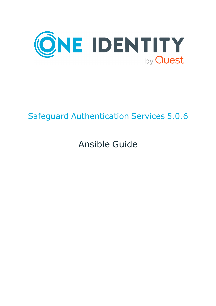

## Safeguard Authentication Services 5.0.6

# Ansible Guide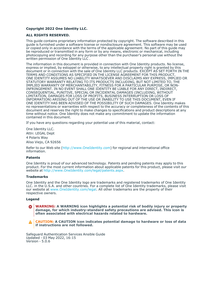### **Copyright 2022 One Identity LLC.**

#### **ALL RIGHTS RESERVED.**

This guide contains proprietary information protected by copyright. The software described in this guide is furnished under a software license or nondisclosure agreement. This software may be used or copied only in accordance with the terms of the applicable agreement. No part of this guide may be reproduced or transmitted in any form or by any means, electronic or mechanical, including photocopying and recording for any purpose other than the purchaser's personal use without the written permission of One Identity LLC .

The information in this document is provided in connection with One Identity products. No license, express or implied, by estoppel or otherwise, to any intellectual property right is granted by this document or in connection with the sale of One Identity LLC products. EXCEPT AS SET FORTH IN THE TERMS AND CONDITIONS AS SPECIFIED IN THE LICENSE AGREEMENT FOR THIS PRODUCT, ONE IDENTITY ASSUMES NO LIABILITY WHATSOEVER AND DISCLAIMS ANY EXPRESS, IMPLIED OR STATUTORY WARRANTY RELATING TO ITS PRODUCTS INCLUDING, BUT NOT LIMITED TO, THE IMPLIED WARRANTY OF MERCHANTABILITY, FITNESS FOR A PARTICULAR PURPOSE, OR NON-INFRINGEMENT. IN NO EVENT SHALL ONE IDENTITY BE LIABLE FOR ANY DIRECT, INDIRECT, CONSEQUENTIAL, PUNITIVE, SPECIAL OR INCIDENTAL DAMAGES (INCLUDING, WITHOUT LIMITATION, DAMAGES FOR LOSS OF PROFITS, BUSINESS INTERRUPTION OR LOSS OF INFORMATION) ARISING OUT OF THE USE OR INABILITY TO USE THIS DOCUMENT, EVEN IF ONE IDENTITY HAS BEEN ADVISED OF THE POSSIBILITY OF SUCH DAMAGES. One Identity makes no representations or warranties with respect to the accuracy or completeness of the contents of this document and reserves the right to make changes to specifications and product descriptions at any time without notice. One Identity does not make any commitment to update the information contained in this document.

If you have any questions regarding your potential use of this material, contact:

One Identity LLC. Attn: LEGAL Dept 4 Polaris Way Aliso Viejo, CA 92656

Refer to our Web site [\(http://www.OneIdentity.com](http://www.oneidentity.com/)) for regional and international office information.

#### **Patents**

One Identity is proud of our advanced technology. Patents and pending patents may apply to this product. For the most current information about applicable patents for this product, please visit our website at [http://www.OneIdentity.com/legal/patents.aspx.](http://www.oneidentity.com/legal/patents.aspx)

#### **Trademarks**

One Identity and the One Identity logo are trademarks and registered trademarks of One Identity LLC. in the U.S.A. and other countries. For a complete list of One Identity trademarks, please visit our website at [www.OneIdentity.com/legal](http://www.oneidentity.com/legal). All other trademarks are the property of their respective owners.

#### **Legend**

**WARNING: A WARNING icon highlights a potential risk of bodily injury or property** œ **damage, for which industry-standard safety precautions are advised. This icon is often associated with electrical hazards related to hardware.**

**CAUTION: A CAUTION icon indicates potential damage to hardware or loss of data if instructions are not followed.**

Safeguard Authentication Services Ansible Guide Updated - 03 May 2022, 16:15 Version - 5.0.6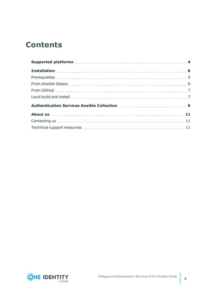## **Contents**

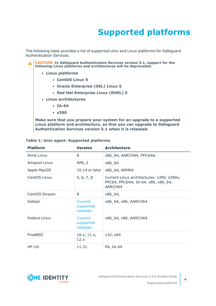## **Supported platforms**

<span id="page-3-0"></span>The following table provides a list of supported Unix and Linux platforms for Safeguard Authentication Services.

**CAUTION: In Safeguard Authentication Services version 5.1, support for the following Linux platforms and architectures will be deprecated:**

- <sup>l</sup> **Linux platforms**
	- <sup>l</sup> **CentOS Linux 5**
	- <sup>l</sup> **Oracle Enterprise (OEL) Linux 5**
	- <sup>l</sup> **Red Hat Enterprise Linux (RHEL) 5**
- <sup>l</sup> **Linux architectures**
	- $\cdot$  **IA-64**
	- <sup>l</sup> **s390**

**Make sure that you prepare your system for an upgrade to a supported Linux platform and architecture, so that you can upgrade to Safeguard Authentication Services version 5.1 when it is released.**

| <b>Platform</b> | <b>Version</b>                   | <b>Architecture</b>                                                                         |
|-----------------|----------------------------------|---------------------------------------------------------------------------------------------|
| Alma Linux      | 8                                | x86_64, AARCH64, PPC64le                                                                    |
| Amazon Linux    | AMI, 2                           | x86_64                                                                                      |
| Apple MacOS     | $10.14$ or later                 | x86_64, ARM64                                                                               |
| CentOS Linux    | 5, 6, 7, 8                       | Current Linux architectures: s390, s390x,<br>PPC64, PPC64le, IA-64, x86, x86_64,<br>AARCH64 |
| CentOS Stream   | 8                                | x86_64,                                                                                     |
| Debian          | Current<br>supported<br>releases | x86_64, x86, AARCH64                                                                        |
| Fedora Linux    | Current<br>supported<br>releases | x86_64, x86, AARCH64                                                                        |
| FreeBSD         | 10.x, 11.x,<br>12.x              | x32, x64                                                                                    |
| HP-UX           | 11.31                            | PA, IA-64                                                                                   |

### **Table 1: Unix agent: Supported platforms**

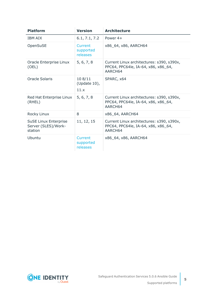| <b>Platform</b>                                                | <b>Version</b>                   | <b>Architecture</b>                                                                         |
|----------------------------------------------------------------|----------------------------------|---------------------------------------------------------------------------------------------|
| <b>IBM AIX</b>                                                 | 6.1, 7.1, 7.2                    | Power 4+                                                                                    |
| OpenSuSE                                                       | Current<br>supported<br>releases | x86_64, x86, AARCH64                                                                        |
| Oracle Enterprise Linux<br>(OEL)                               | 5, 6, 7, 8                       | Current Linux architectures: s390, s390x,<br>PPC64, PPC64le, IA-64, x86, x86_64,<br>AARCH64 |
| Oracle Solaris                                                 | 108/11<br>(Update 10),<br>11.x   | SPARC, x64                                                                                  |
| Red Hat Enterprise Linux<br>(RHEL)                             | 5, 6, 7, 8                       | Current Linux architectures: s390, s390x,<br>PPC64, PPC64le, IA-64, x86, x86_64,<br>AARCH64 |
| Rocky Linux                                                    | 8                                | x86_64, AARCH64                                                                             |
| <b>SuSE Linux Enterprise</b><br>Server (SLES)/Work-<br>station | 11, 12, 15                       | Current Linux architectures: s390, s390x,<br>PPC64, PPC64le, IA-64, x86, x86_64,<br>AARCH64 |
| Ubuntu                                                         | Current<br>supported<br>releases | x86_64, x86, AARCH64                                                                        |

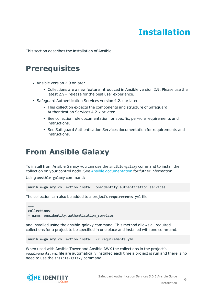## **Installation**

<span id="page-5-1"></span><span id="page-5-0"></span>This section describes the installation of Ansible.

### **Prerequisites**

- Ansible version 2.9 or later
	- <sup>l</sup> Collections are a new feature introduced in Ansible version 2.9. Please use the latest 2.9+ release for the best user experience.
- Safeguard Authentication Services version 4.2.x or later
	- This collection expects the components and structure of Safeguard Authentication Services 4.2.x or later.
	- See collection role documentation for specific, per-role requirements and instructions.
	- See Safeguard Authentication Services documentation for requirements and instructions.

### <span id="page-5-2"></span>**From Ansible Galaxy**

To install from Ansible Galaxy you can use the ansible-galaxy command to install the collection on your control node. See Ansible [documentation](https://docs.ansible.com/ansible/devel/user_guide/collections_using.html#installing-collections) for futher information.

Using ansible-galaxy command:

```
ansible-galaxy collection install oneidentity.authentication_services
```
The collection can also be added to a project's requirements.yml file

```
---
collections:
- name: oneidentity.authentication_services
```
and installed using the ansible-galaxy command. This method allows all required collections for a project to be specified in one place and installed with one command.

```
ansible-galaxy collection install -r requirements.yml
```
When used with Ansible Tower and Ansible AWX the collections in the project's requirements.yml file are automatically installed each time a project is run and there is no need to use the ansible-galaxy command.



**6**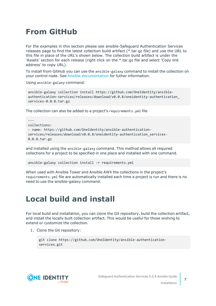## <span id="page-6-0"></span>**From GitHub**

For the examples in this section please see ansible-Safeguard Authentication Services releases page to find the latest collection build artifact (\*.tar.gz file) and use the URL to this file in place of the URL's shown below. The collection build artifact is under the 'Assets' section for each release (right click on the \*.tar.gz file and select 'Copy link address' to copy URL).

To install from GitHub you can use the ansible-galaxy command to install the collection on your control node. See Ansible [documentation](https://docs.ansible.com/ansible/devel/user_guide/collections_using.html#installing-collections) for futher information.

Using ansible-galaxy command:

```
ansible-galaxy collection install https://github.com/OneIdentity/ansible-
authentication-services/releases/download/v0.0.8/oneidentity-authentication_
services-0.0.8.tar.gz
```
The collection can also be added to a project's requirements.yml file

```
---
collections:
- name: https://github.com/OneIdentity/ansible-authentication-
services/releases/download/v0.0.8/oneidentity-authentication_services-
0.0.8.tar.gz
```
and installed using the ansible-galaxy command. This method allows all required collections for a project to be specified in one place and installed with one command.

```
ansible-galaxy collection install -r requirements.yml
```
When used with Ansible Tower and Ansible AWX the collections in the project's requirements.yml file are automatically installed each time a project is run and there is no need to use the ansible-galaxy command.

### <span id="page-6-1"></span>**Local build and install**

For local build and installation, you can clone the Git repository, build the collection artifact, and install the locally built collection artifact. This would be useful for those wishing to extend or customize the collection.

1. Clone the Git repository:

```
git clone https://github.com/OneIdentity/ansible-authentication-
services.git
```
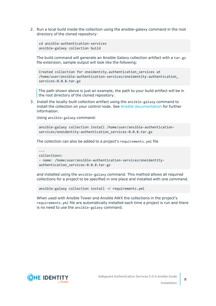2. Run a local build inside the collection using the ansible-galaxy command in the root directory of the cloned repository:

```
cd ansible-authentication-services
ansible-galaxy collection build
```
The build command will generate an Ansible Galaxy collection artifact with a tar.gz file extension, sample output will look like the following:

```
Created collection for oneidentity.authentication services at
/home/user/ansible-authentication-services/oneidentity-authentication_
services-0.0.8.tar.gz
```
The path shown above is just an example, the path to your build artifact will be in the root directory of the cloned repository.

3. Install the locally-built collection artifact using the ansible-galaxy command to install the collection on your control node. See Ansible [documentation](https://docs.ansible.com/ansible/devel/user_guide/collections_using.html#installing-collections) for further information.

Using ansible-galaxy command:

```
ansible-galaxy collection install /home/user/ansible-authentication-
services/oneidentity-authentication_services-0.0.8.tar.gz
```
The collection can also be added to a project's requirements.yml file

```
---
collections:
- name: /home/user/ansible-authentication-services/oneidentity-
authentication_services-0.0.8.tar.gz
```
and installed using the ansible-galaxy command. This method allows all required collections for a project to be specified in one place and installed with one command.

```
ansible-galaxy collection install -r requirements.yml
```
When used with Ansible Tower and Ansible AWX the collections in the project's requirements.yml file are automatically installed each time a project is run and there is no need to use the ansible-galaxy command.



**8**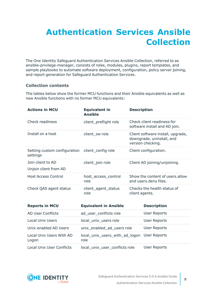## <span id="page-8-0"></span>**Authentication Services Ansible Collection**

The One Identity Safeguard Authentication Services Ansible Collection, referred to as ansible-privilege-manager, consists of roles, modules, plugins, report templates, and sample playbooks to automate software deployment, configuration, policy server joining, and report generation for Safeguard Authentication Services.

### **Collection contents**

The tables below show the former MCU functions and their Ansible equivalents as well as new Ansible functions with no former MCU equivalents:

| <b>Actions in MCU</b>                    | <b>Equivalent in</b><br><b>Ansible</b> | <b>Description</b>                                                                  |
|------------------------------------------|----------------------------------------|-------------------------------------------------------------------------------------|
| Check readiness                          | client_preflight role                  | Check client readiness for<br>software install and AD join.                         |
| Install on a host                        | client sw role                         | Client software install, upgrade,<br>downgrade, uninstall, and<br>version checking. |
| Setting custom configuration<br>settings | client_config role                     | Client configuration.                                                               |
| Join client to AD                        | client_join role                       | Client AD joining/unjoining.                                                        |
| Unjoin client from AD                    |                                        |                                                                                     |
| <b>Host Access Control</b>               | host access control<br>role            | Show the content of users, allow<br>and users.deny files.                           |
| Check QAS agent status                   | client_agent_status<br>role            | Checks the health status of<br>client agents.                                       |
| <b>Reports in MCU</b>                    | <b>Equivalent in Ansible</b>           | <b>Description</b>                                                                  |
| <b>AD User Conflicts</b>                 | ad_user_conflicts role                 | <b>User Reports</b>                                                                 |
| <b>Local Unix Users</b>                  | local_unix_users role                  | <b>User Reports</b>                                                                 |
| Unix-enabled AD Users                    | unix_enabled_ad_users role             | <b>User Reports</b>                                                                 |
| Local Unix Users With AD<br>Logon        | local_unix_users_with_ad_logon<br>role | <b>User Reports</b>                                                                 |

Local Unix User Conflicts local\_unix\_user\_conflicts role User Reports

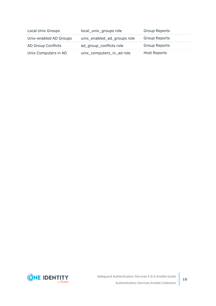| Local Unix Groups         | local_unix_groups role      | <b>Group Reports</b> |
|---------------------------|-----------------------------|----------------------|
| Unix-enabled AD Groups    | unix_enabled_ad_groups role | <b>Group Reports</b> |
| <b>AD Group Conflicts</b> | ad_group_conflicts role     | <b>Group Reports</b> |
| Unix Computers in AD      | unix_computers_in_ad role   | <b>Host Reports</b>  |